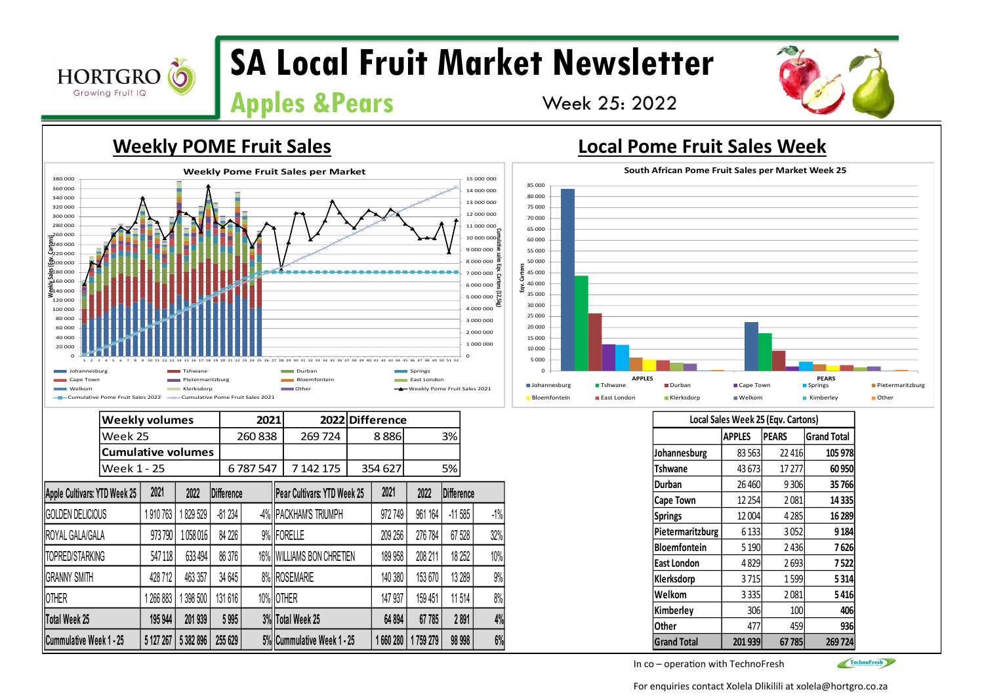

0 20 000

# **SA Local Fruit Market Newsletter**

# **Apples &Pears** Week 25: 2022

### **Weekly POME Fruit Sales Local Pome Fruit Sales Week**  40 000 60 000 80 000 100 000  $120,000$ 160 000<br>140 000  $\frac{1}{21}80000$  $rac{2}{2000000}$  $\bar{c}_{220\,000}$  $\frac{5}{22}$ 40 000 260 000 280 000 300 000 320 000 340 000 360 000 380 000 <sup>1</sup> <sup>2</sup> <sup>3</sup> <sup>4</sup> <sup>5</sup> <sup>6</sup> <sup>7</sup> <sup>8</sup> <sup>9</sup> <sup>10</sup> <sup>11</sup> <sup>12</sup> <sup>13</sup> <sup>14</sup> <sup>15</sup> <sup>16</sup> <sup>17</sup> <sup>18</sup> <sup>19</sup> <sup>20</sup> <sup>21</sup> <sup>22</sup> <sup>23</sup> <sup>24</sup> <sup>25</sup> <sup>26</sup> <sup>27</sup> <sup>28</sup> <sup>29</sup> <sup>30</sup> <sup>31</sup> <sup>32</sup> <sup>33</sup> <sup>34</sup> <sup>35</sup> <sup>36</sup> <sup>37</sup> <sup>38</sup> <sup>39</sup> <sup>40</sup> <sup>41</sup> <sup>42</sup> <sup>43</sup> <sup>44</sup> <sup>45</sup> <sup>46</sup> <sup>47</sup> <sup>48</sup> <sup>49</sup> <sup>50</sup> <sup>51</sup> <sup>52</sup> **Cumulative sales Eqv. Cartons (12,5kg) Weekly Sales (Eqv. Cartons) Weekly Pome Fruit Sales per Market**

### $\sim$ 1 000 000 2 000 000 3 000 000  $4000000$ 5 000 000  $\overline{5}$ Johannesburg **The Durban Springs Springs Springs** Tshwane Number Springs Springs Springs Springs Springs Springs Cape Town **Product Bloemaritzburg Bloemfontein** Bloemfontein **East London East London**

| Johannesburg                                          |                                                                         | Tshwane   |           |                                                                      |                  | Durban |                             |       | Springs         |          |            |        |
|-------------------------------------------------------|-------------------------------------------------------------------------|-----------|-----------|----------------------------------------------------------------------|------------------|--------|-----------------------------|-------|-----------------|----------|------------|--------|
| Cape Town<br>Pietermaritzburg<br>Klerksdorp<br>Welkom |                                                                         |           |           | Bloemfontein<br>East London<br>Other<br>Weekly Pome Fruit Sales 2021 |                  |        |                             |       |                 |          |            |        |
|                                                       | - Cumulative Pome Fruit Sales 2022 - - Cumulative Pome Fruit Sales 2021 |           |           |                                                                      |                  |        |                             |       |                 |          |            |        |
|                                                       | <b>Weekly volumes</b>                                                   |           |           |                                                                      | 2021             |        |                             |       | 2022 Difference |          |            |        |
|                                                       | Week 25                                                                 |           |           |                                                                      | 260838           |        | 269724                      |       | 8886            |          | 3%         |        |
|                                                       | <b>Cumulative volumes</b>                                               |           |           |                                                                      |                  |        |                             |       |                 |          |            |        |
| Week 1 - 25                                           |                                                                         |           | 6787547   |                                                                      | 7 142 175        |        | 354 627                     |       | 5%              |          |            |        |
| Apple Cultivars: YTD Week 25                          |                                                                         | 2021      | 2022      | <b>Difference</b>                                                    |                  |        | Pear Cultivars: YTD Week 25 |       | 2021            | 2022     | Difference |        |
| <b>GOLDEN DELICIOUS</b>                               |                                                                         | 1 910 763 | 1829529   | $-81234$                                                             |                  |        | -4%   PACKHAM'S TRIUMPH     |       | 972 749         | 961 164  | $-11585$   | $-1\%$ |
| ROYAL GALA/GALA                                       |                                                                         | 973790    | 1058016   | 84 226                                                               |                  |        | 9% <b>FORELLE</b>           |       | 209 256         | 276 784  | 67 528     | 32%    |
| <b>TOPRED/STARKING</b>                                |                                                                         | 547118    | 633 494   | 86 376                                                               |                  |        | 16% WILLIAMS BON CHRETIEN   |       | 189 958         | 208 211  | 18 25 2    | 10%    |
| <b>GRANNY SMITH</b>                                   |                                                                         | 428 712   | 463 357   | 34 645                                                               |                  |        | 8% ROSEMARIE                |       | 140 380         | 153 670  | 13 289     | 9%     |
| <b>OTHER</b>                                          |                                                                         | 266 883   | 398 500   | 131 616                                                              | 10% OTHER        |        |                             |       | 147 937         | 159 451  | 11514      | 8%     |
| Total Week 25<br>201 939<br>195 944                   |                                                                         | 5995      |           |                                                                      | 3% Total Week 25 |        | 64 894                      | 67785 | 2891            | 4%       |            |        |
| Cummulative Week 1 - 25                               |                                                                         | 5 127 267 | 5 382 896 | 255 629                                                              |                  |        | 5% Cummulative Week 1 - 25  |       | 1 660 280       | 1759 279 | 98 998     | 6%     |



| Local Sales Week 25 (Eqv. Cartons) |               |              |                    |  |  |  |
|------------------------------------|---------------|--------------|--------------------|--|--|--|
|                                    | <b>APPLES</b> | <b>PEARS</b> | <b>Grand Total</b> |  |  |  |
| Johannesburg                       | 83 563        | 22416        | 105 978            |  |  |  |
| Tshwane                            | 43 673        | 17 277       | 60 950             |  |  |  |
| Durban                             | 26 4 60       | 9306         | 35766              |  |  |  |
| <b>Cape Town</b>                   | 12 2 54       | 2081         | 14 3 35            |  |  |  |
| <b>Springs</b>                     | 12 004        | 4285         | 16 289             |  |  |  |
| Pietermaritzburg                   | 6 1 3 3       | 3052         | 9 184              |  |  |  |
| <b>Bloemfontein</b>                | 5 1 9 0       | 2436         | 7 626              |  |  |  |
| East London                        | 4829          | 2693         | 7522               |  |  |  |
| Klerksdorp                         | 3715          | 1599         | 5314               |  |  |  |
| Welkom                             | 3 3 3 5       | 2081         | 5416               |  |  |  |
| Kimberley                          | 306           | 100          | 406                |  |  |  |
| Other                              | 477           | 459          | 936                |  |  |  |
| <b>Grand Total</b>                 | 201939        | 67785        | 269724             |  |  |  |

In co – operation with TechnoFresh



For enquiries contact Xolela Dlikilili at xolela@hortgro.co.za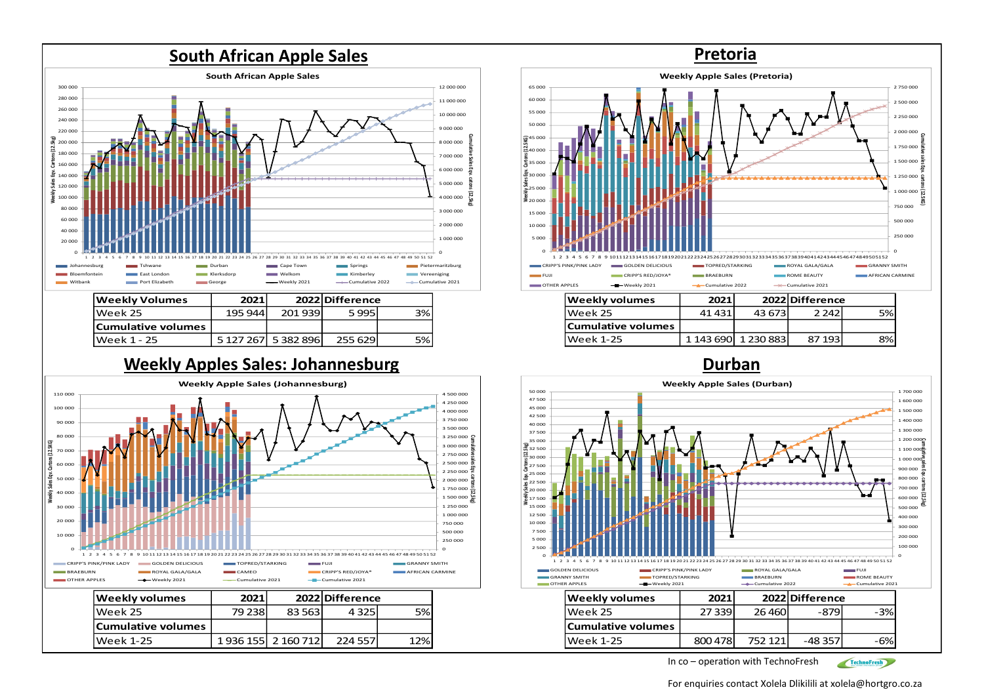

| Weekly Volumes     | 2021     |                     | 2022 Difference |      |
|--------------------|----------|---------------------|-----------------|------|
| Week 25            | 195 944l | 201 939             | 5995            | 3% l |
| Cumulative volumes |          |                     |                 |      |
| Week 1 - 25        |          | 5 127 267 5 382 896 | 255 6291        | 5% l |

## **Weekly Apples Sales: Johannesburg <b>Durban Durban**





| 41 431 |                    | 2 242  | י%⊃                                              |
|--------|--------------------|--------|--------------------------------------------------|
|        |                    |        |                                                  |
|        |                    | 87 193 | 8%I                                              |
|        | Cumulative volumes | 2021   | 2022 Difference<br>43.673<br>1 143 690 1 230 883 |



In co – operation with TechnoFresh